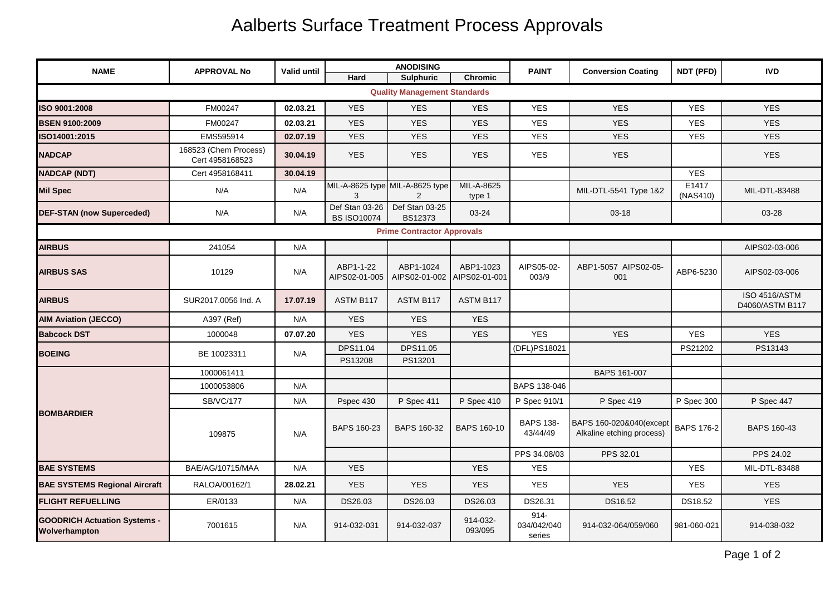## Aalberts Surface Treatment Process Approvals

| <b>NAME</b>                                          | <b>APPROVAL No</b>                       | Valid until | <b>ANODISING</b>                     |                                  |                            | <b>PAINT</b>                     | <b>Conversion Coating</b>                            | NDT (PFD)         | <b>IVD</b>                              |  |  |
|------------------------------------------------------|------------------------------------------|-------------|--------------------------------------|----------------------------------|----------------------------|----------------------------------|------------------------------------------------------|-------------------|-----------------------------------------|--|--|
|                                                      |                                          |             | Hard                                 | <b>Sulphuric</b>                 | <b>Chromic</b>             |                                  |                                                      |                   |                                         |  |  |
| <b>Quality Management Standards</b>                  |                                          |             |                                      |                                  |                            |                                  |                                                      |                   |                                         |  |  |
| ISO 9001:2008                                        | FM00247                                  | 02.03.21    | <b>YES</b>                           | <b>YES</b>                       | <b>YES</b>                 | <b>YES</b>                       | <b>YES</b>                                           | <b>YES</b>        | <b>YES</b>                              |  |  |
| <b>BSEN 9100:2009</b>                                | FM00247                                  | 02.03.21    | <b>YES</b>                           | <b>YES</b>                       | <b>YES</b>                 | <b>YES</b>                       | <b>YES</b>                                           | <b>YES</b>        | <b>YES</b>                              |  |  |
| SO14001:2015                                         | EMS595914                                | 02.07.19    | <b>YES</b>                           | <b>YES</b>                       | <b>YES</b>                 | <b>YES</b>                       | <b>YES</b>                                           | <b>YES</b>        | <b>YES</b>                              |  |  |
| NADCAP                                               | 168523 (Chem Process)<br>Cert 4958168523 | 30.04.19    | <b>YES</b>                           | <b>YES</b>                       | <b>YES</b>                 | <b>YES</b>                       | <b>YES</b>                                           |                   | <b>YES</b>                              |  |  |
| <b>NADCAP (NDT)</b>                                  | Cert 4958168411                          | 30.04.19    |                                      |                                  |                            |                                  |                                                      | <b>YES</b>        |                                         |  |  |
| <b>Mil Spec</b>                                      | N/A                                      | N/A         | MIL-A-8625 type MIL-A-8625 type<br>3 | 2                                | MIL-A-8625<br>type 1       |                                  | MIL-DTL-5541 Type 1&2                                | E1417<br>(NAS410) | MIL-DTL-83488                           |  |  |
| <b>DEF-STAN (now Superceded)</b>                     | N/A                                      | N/A         | Def Stan 03-26<br><b>BS ISO10074</b> | Def Stan 03-25<br><b>BS12373</b> | 03-24                      |                                  | $03 - 18$                                            |                   | 03-28                                   |  |  |
| <b>Prime Contractor Approvals</b>                    |                                          |             |                                      |                                  |                            |                                  |                                                      |                   |                                         |  |  |
| <b>AIRBUS</b>                                        | 241054                                   | N/A         |                                      |                                  |                            |                                  |                                                      |                   | AIPS02-03-006                           |  |  |
| <b>AIRBUS SAS</b>                                    | 10129                                    | N/A         | ABP1-1-22<br>AIPS02-01-005           | ABP1-1024<br>AIPS02-01-002       | ABP1-1023<br>AIPS02-01-001 | AIPS05-02-<br>003/9              | ABP1-5057 AIPS02-05-<br>001                          | ABP6-5230         | AIPS02-03-006                           |  |  |
| <b>AIRBUS</b>                                        | SUR2017.0056 Ind. A                      | 17.07.19    | ASTM B117                            | ASTM B117                        | ASTM B117                  |                                  |                                                      |                   | <b>ISO 4516/ASTM</b><br>D4060/ASTM B117 |  |  |
| <b>AIM Aviation (JECCO)</b>                          | A397 (Ref)                               | N/A         | <b>YES</b>                           | <b>YES</b>                       | <b>YES</b>                 |                                  |                                                      |                   |                                         |  |  |
| <b>Babcock DST</b>                                   | 1000048                                  | 07.07.20    | <b>YES</b>                           | <b>YES</b>                       | <b>YES</b>                 | <b>YES</b>                       | <b>YES</b>                                           | <b>YES</b>        | <b>YES</b>                              |  |  |
| <b>BOEING</b>                                        | BE 10023311                              | N/A         | DPS11.04                             | DPS11.05                         |                            | (DFL)PS18021                     |                                                      | PS21202           | PS13143                                 |  |  |
|                                                      |                                          |             | PS13208                              | PS13201                          |                            |                                  |                                                      |                   |                                         |  |  |
| <b>BOMBARDIER</b>                                    | 1000061411                               |             |                                      |                                  |                            |                                  | BAPS 161-007                                         |                   |                                         |  |  |
|                                                      | 1000053806                               | N/A         |                                      |                                  |                            | BAPS 138-046                     |                                                      |                   |                                         |  |  |
|                                                      | <b>SB/VC/177</b>                         | N/A         | Pspec 430                            | P Spec 411                       | P Spec 410                 | P Spec 910/1                     | P Spec 419                                           | P Spec 300        | P Spec 447                              |  |  |
|                                                      | 109875                                   | N/A         | BAPS 160-23                          | BAPS 160-32                      | <b>BAPS 160-10</b>         | <b>BAPS 138-</b><br>43/44/49     | BAPS 160-020&040(except<br>Alkaline etching process) | <b>BAPS 176-2</b> | <b>BAPS 160-43</b>                      |  |  |
|                                                      |                                          |             |                                      |                                  |                            | PPS 34.08/03                     | PPS 32.01                                            |                   | PPS 24.02                               |  |  |
| <b>BAE SYSTEMS</b>                                   | BAE/AG/10715/MAA                         | N/A         | <b>YES</b>                           |                                  | <b>YES</b>                 | <b>YES</b>                       |                                                      | <b>YES</b>        | MIL-DTL-83488                           |  |  |
| <b>BAE SYSTEMS Regional Aircraft</b>                 | RALOA/00162/1                            | 28.02.21    | <b>YES</b>                           | <b>YES</b>                       | <b>YES</b>                 | <b>YES</b>                       | <b>YES</b>                                           | <b>YES</b>        | <b>YES</b>                              |  |  |
| <b>FLIGHT REFUELLING</b>                             | ER/0133                                  | N/A         | DS26.03                              | DS26.03                          | DS26.03                    | DS26.31                          | DS16.52                                              | DS18.52           | <b>YES</b>                              |  |  |
| <b>GOODRICH Actuation Systems -</b><br>Wolverhampton | 7001615                                  | N/A         | 914-032-031                          | 914-032-037                      | 914-032-<br>093/095        | $914 -$<br>034/042/040<br>series | 914-032-064/059/060                                  | 981-060-021       | 914-038-032                             |  |  |